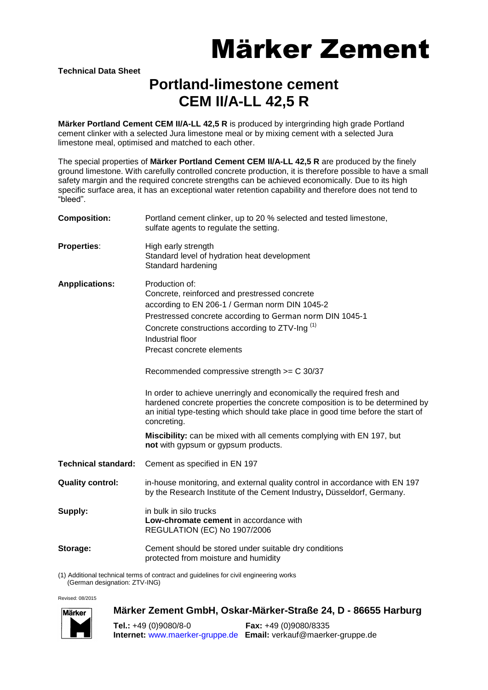# Märker Zement

**Technical Data Sheet**

### **Portland-limestone cement CEM II/A-LL 42,5 R**

**Märker Portland Cement CEM II/A-LL 42,5 R** is produced by intergrinding high grade Portland cement clinker with a selected Jura limestone meal or by mixing cement with a selected Jura limestone meal, optimised and matched to each other.

The special properties of **Märker Portland Cement CEM II/A-LL 42,5 R** are produced by the finely ground limestone. With carefully controlled concrete production, it is therefore possible to have a small safety margin and the required concrete strengths can be achieved economically. Due to its high specific surface area, it has an exceptional water retention capability and therefore does not tend to "bleed".

| <b>Composition:</b>                                                                   | Portland cement clinker, up to 20 % selected and tested limestone,<br>sulfate agents to regulate the setting.                                                                                                                                                                                                                                                                                                                                                                                                                                                                                                                                                                                                            |
|---------------------------------------------------------------------------------------|--------------------------------------------------------------------------------------------------------------------------------------------------------------------------------------------------------------------------------------------------------------------------------------------------------------------------------------------------------------------------------------------------------------------------------------------------------------------------------------------------------------------------------------------------------------------------------------------------------------------------------------------------------------------------------------------------------------------------|
| <b>Properties:</b>                                                                    | High early strength<br>Standard level of hydration heat development<br>Standard hardening                                                                                                                                                                                                                                                                                                                                                                                                                                                                                                                                                                                                                                |
| <b>Anpplications:</b>                                                                 | Production of:<br>Concrete, reinforced and prestressed concrete<br>according to EN 206-1 / German norm DIN 1045-2<br>Prestressed concrete according to German norm DIN 1045-1<br>Concrete constructions according to ZTV-Ing <sup>(1)</sup><br>Industrial floor<br>Precast concrete elements<br>Recommended compressive strength >= C 30/37<br>In order to achieve unerringly and economically the required fresh and<br>hardened concrete properties the concrete composition is to be determined by<br>an initial type-testing which should take place in good time before the start of<br>concreting.<br>Miscibility: can be mixed with all cements complying with EN 197, but<br>not with gypsum or gypsum products. |
| <b>Technical standard:</b>                                                            | Cement as specified in EN 197                                                                                                                                                                                                                                                                                                                                                                                                                                                                                                                                                                                                                                                                                            |
| <b>Quality control:</b>                                                               | in-house monitoring, and external quality control in accordance with EN 197<br>by the Research Institute of the Cement Industry, Düsseldorf, Germany.                                                                                                                                                                                                                                                                                                                                                                                                                                                                                                                                                                    |
| Supply:                                                                               | in bulk in silo trucks<br>Low-chromate cement in accordance with<br>REGULATION (EC) No 1907/2006                                                                                                                                                                                                                                                                                                                                                                                                                                                                                                                                                                                                                         |
| Storage:                                                                              | Cement should be stored under suitable dry conditions<br>protected from moisture and humidity                                                                                                                                                                                                                                                                                                                                                                                                                                                                                                                                                                                                                            |
| (1) Additional technical terms of contract and guidelines for civil engineering works |                                                                                                                                                                                                                                                                                                                                                                                                                                                                                                                                                                                                                                                                                                                          |

(German designation: ZTV-ING)

Revised: 08/2015



#### **Märker Zement GmbH, Oskar-Märker-Straße 24, D - 86655 Harburg**

**Tel.:** +49 (0)9080/8-0 **Fax:** +49 (0)9080/8335 **Internet:** [www.maerker-gruppe.de](http://www.maerker-gruppe.de/) **Email:** verkauf@maerker-gruppe.de